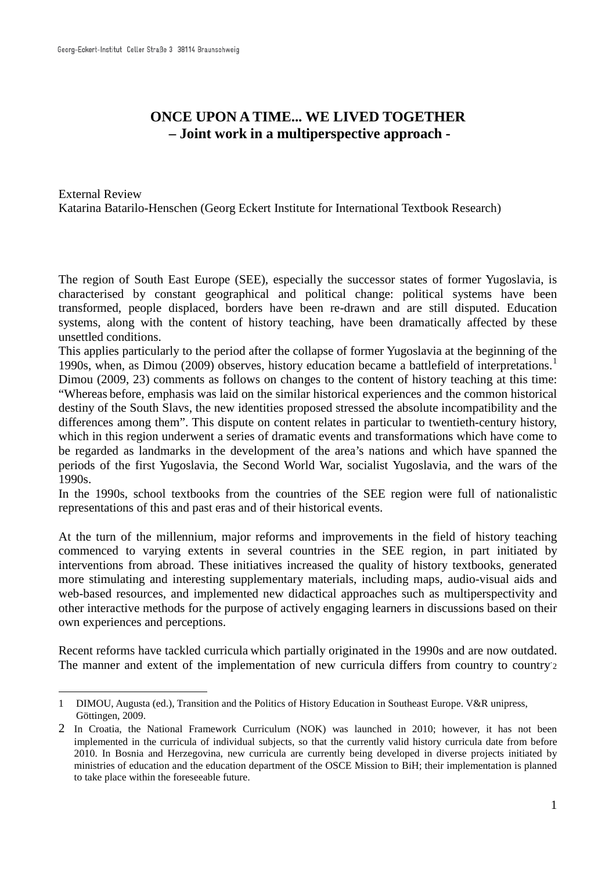<u>.</u>

# **ONCE UPON A TIME... WE LIVED TOGETHER – Joint work in a multiperspective approach -**

External Review Katarina Batarilo-Henschen (Georg Eckert Institute for International Textbook Research)

The region of South East Europe (SEE), especially the successor states of former Yugoslavia, is characterised by constant geographical and political change: political systems have been transformed, people displaced, borders have been re-drawn and are still disputed. Education systems, along with the content of history teaching, have been dramatically affected by these unsettled conditions.

This applies particularly to the period after the collapse of former Yugoslavia at the beginning of the 1990s, when, as Dimou (2009) observes, history education became a battlefield of interpretations.[1](#page-0-0)

Dimou (2009, 23) comments as follows on changes to the content of history teaching at this time: "Whereas before, emphasis was laid on the similar historical experiences and the common historical destiny of the South Slavs, the new identities proposed stressed the absolute incompatibility and the differences among them". This dispute on content relates in particular to twentieth-century history, which in this region underwent a series of dramatic events and transformations which have come to be regarded as landmarks in the development of the area's nations and which have spanned the periods of the first Yugoslavia, the Second World War, socialist Yugoslavia, and the wars of the 1990s.

In the 1990s, school textbooks from the countries of the SEE region were full of nationalistic representations of this and past eras and of their historical events.

At the turn of the millennium, major reforms and improvements in the field of history teaching commenced to varying extents in several countries in the SEE region, in part initiated by interventions from abroad. These initiatives increased the quality of history textbooks, generated more stimulating and interesting supplementary materials, including maps, audio-visual aids and web-based resources, and implemented new didactical approaches such as multiperspectivity and other interactive methods for the purpose of actively engaging learners in discussions based on their own experiences and perceptions.

Recent reforms have tackled curricula which partially originated in the 1990s and are now outdated. The manner and extent of the implementation of new curricula differs from country to country [2](#page-0-1)

<span id="page-0-0"></span><sup>1</sup> DIMOU, Augusta (ed.), Transition and the Politics of History Education in Southeast Europe. V&R unipress, Göttingen, 2009.

<span id="page-0-1"></span><sup>2</sup> In Croatia, the National Framework Curriculum (NOK) was launched in 2010; however, it has not been implemented in the curricula of individual subjects, so that the currently valid history curricula date from before 2010. In Bosnia and Herzegovina, new curricula are currently being developed in diverse projects initiated by ministries of education and the education department of the OSCE Mission to BiH; their implementation is planned to take place within the foreseeable future.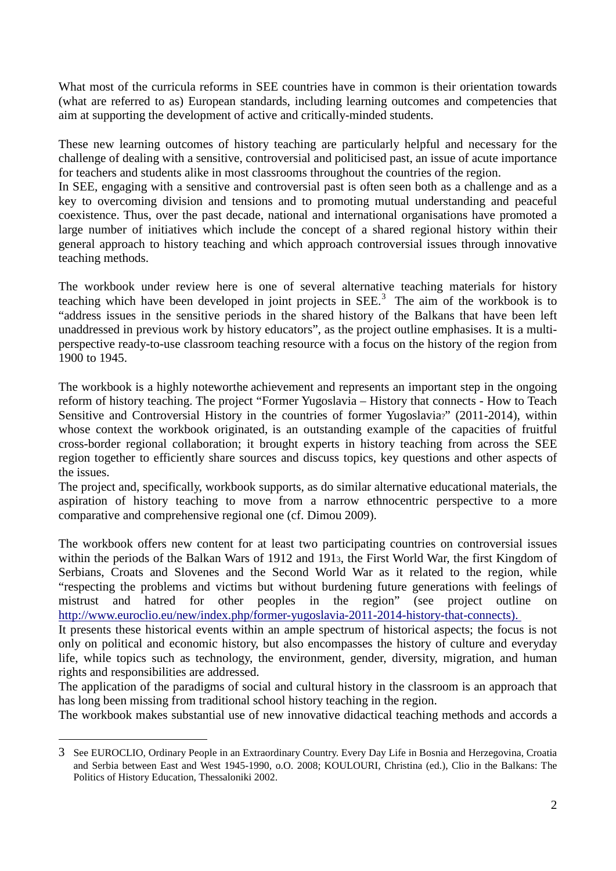What most of the curricula reforms in SEE countries have in common is their orientation towards (what are referred to as) European standards, including learning outcomes and competencies that aim at supporting the development of active and critically-minded students.

These new learning outcomes of history teaching are particularly helpful and necessary for the challenge of dealing with a sensitive, controversial and politicised past, an issue of acute importance for teachers and students alike in most classrooms throughout the countries of the region.

In SEE, engaging with a sensitive and controversial past is often seen both as a challenge and as a key to overcoming division and tensions and to promoting mutual understanding and peaceful coexistence. Thus, over the past decade, national and international organisations have promoted a large number of initiatives which include the concept of a shared regional history within their general approach to history teaching and which approach controversial issues through innovative teaching methods.

The workbook under review here is one of several alternative teaching materials for history teaching which have been developed in joint projects in  $SEE<sup>3</sup>$  $SEE<sup>3</sup>$  $SEE<sup>3</sup>$ . The aim of the workbook is to "address issues in the sensitive periods in the shared history of the Balkans that have been left unaddressed in previous work by history educators", as the project outline emphasises. It is a multiperspective ready-to-use classroom teaching resource with a focus on the history of the region from 1900 to 1945.

The workbook is a highly noteworthe achievement and represents an important step in the ongoing reform of history teaching. The project "Former Yugoslavia – History that connects - How to Teach Sensitive and Controversial History in the countries of former Yugoslavia?" (2011-2014), within whose context the workbook originated, is an outstanding example of the capacities of fruitful cross-border regional collaboration; it brought experts in history teaching from across the SEE region together to efficiently share sources and discuss topics, key questions and other aspects of the issues.

The project and, specifically, workbook supports, as do similar alternative educational materials, the aspiration of history teaching to move from a narrow ethnocentric perspective to a more comparative and comprehensive regional one (cf. Dimou 2009).

The workbook offers new content for at least two participating countries on controversial issues within the periods of the Balkan Wars of 1912 and 1913, the First World War, the first Kingdom of Serbians, Croats and Slovenes and the Second World War as it related to the region, while "respecting the problems and victims but without burdening future generations with feelings of mistrust and hatred for other peoples in the region" (see project outline on [http://www.euroclio.eu/new/index.php/former-yugoslavia-2011-2014-history-that-connects\)](http://www.euroclio.eu/new/index.php/former-yugoslavia-2011-2014-history-that-connects).

It presents these historical events within an ample spectrum of historical aspects; the focus is not only on political and economic history, but also encompasses the history of culture and everyday life, while topics such as technology, the environment, gender, diversity, migration, and human rights and responsibilities are addressed.

The application of the paradigms of social and cultural history in the classroom is an approach that has long been missing from traditional school history teaching in the region.

The workbook makes substantial use of new innovative didactical teaching methods and accords a

<u>.</u>

<span id="page-1-0"></span><sup>3</sup> See EUROCLIO, Ordinary People in an Extraordinary Country. Every Day Life in Bosnia and Herzegovina, Croatia and Serbia between East and West 1945-1990, o.O. 2008; KOULOURI, Christina (ed.), Clio in the Balkans: The Politics of History Education, Thessaloniki 2002.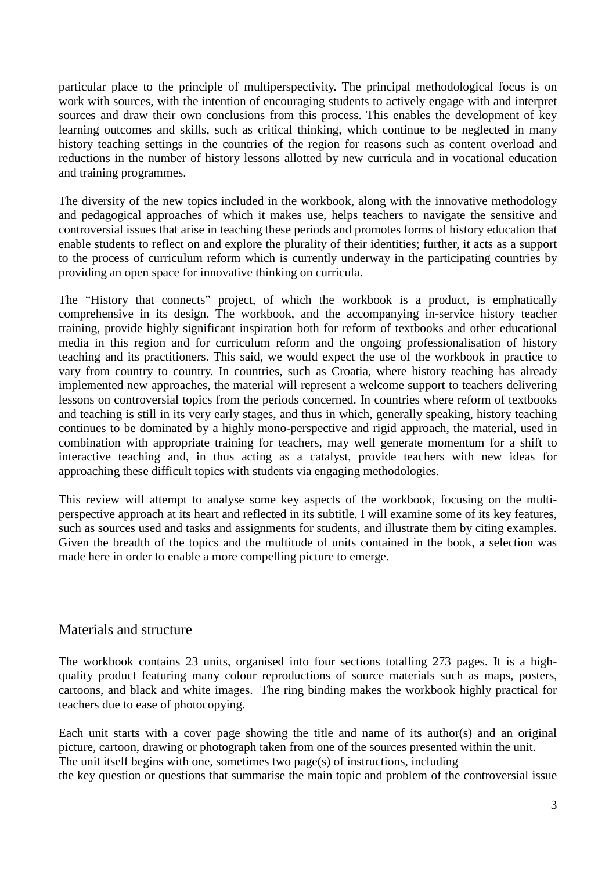particular place to the principle of multiperspectivity. The principal methodological focus is on work with sources, with the intention of encouraging students to actively engage with and interpret sources and draw their own conclusions from this process. This enables the development of key learning outcomes and skills, such as critical thinking, which continue to be neglected in many history teaching settings in the countries of the region for reasons such as content overload and reductions in the number of history lessons allotted by new curricula and in vocational education and training programmes*.* 

The diversity of the new topics included in the workbook, along with the innovative methodology and pedagogical approaches of which it makes use, helps teachers to navigate the sensitive and controversial issues that arise in teaching these periods and promotes forms of history education that enable students to reflect on and explore the plurality of their identities; further, it acts as a support to the process of curriculum reform which is currently underway in the participating countries by providing an open space for innovative thinking on curricula.

The "History that connects" project, of which the workbook is a product, is emphatically comprehensive in its design. The workbook, and the accompanying in-service history teacher training, provide highly significant inspiration both for reform of textbooks and other educational media in this region and for curriculum reform and the ongoing professionalisation of history teaching and its practitioners. This said, we would expect the use of the workbook in practice to vary from country to country. In countries, such as Croatia, where history teaching has already implemented new approaches, the material will represent a welcome support to teachers delivering lessons on controversial topics from the periods concerned. In countries where reform of textbooks and teaching is still in its very early stages, and thus in which, generally speaking, history teaching continues to be dominated by a highly mono-perspective and rigid approach, the material, used in combination with appropriate training for teachers, may well generate momentum for a shift to interactive teaching and, in thus acting as a catalyst, provide teachers with new ideas for approaching these difficult topics with students via engaging methodologies.

This review will attempt to analyse some key aspects of the workbook, focusing on the multiperspective approach at its heart and reflected in its subtitle. I will examine some of its key features, such as sources used and tasks and assignments for students, and illustrate them by citing examples. Given the breadth of the topics and the multitude of units contained in the book, a selection was made here in order to enable a more compelling picture to emerge.

## Materials and structure

The workbook contains 23 units, organised into four sections totalling 273 pages. It is a highquality product featuring many colour reproductions of source materials such as maps, posters, cartoons, and black and white images. The ring binding makes the workbook highly practical for teachers due to ease of photocopying.

Each unit starts with a cover page showing the title and name of its author(s) and an original picture, cartoon, drawing or photograph taken from one of the sources presented within the unit. The unit itself begins with one, sometimes two page(s) of instructions, including the key question or questions that summarise the main topic and problem of the controversial issue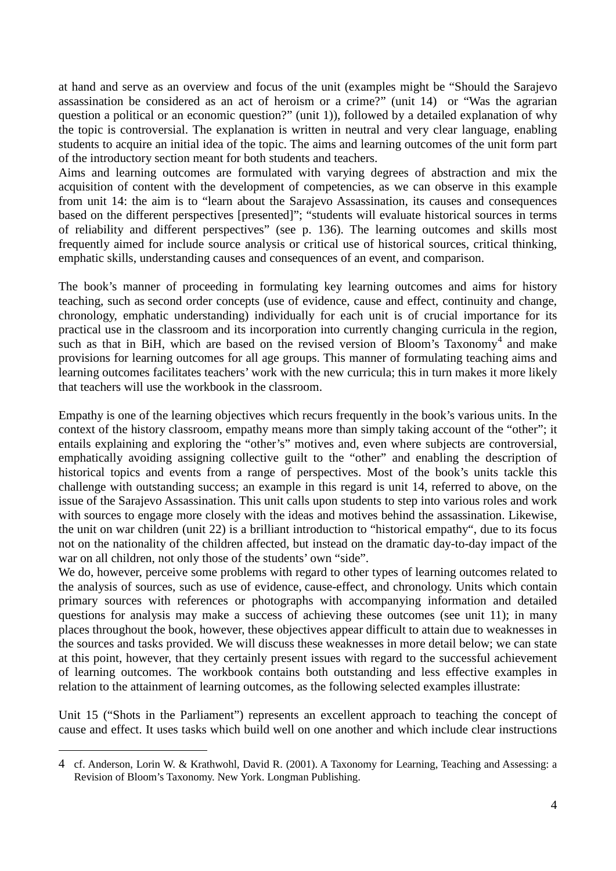at hand and serve as an overview and focus of the unit (examples might be "Should the Sarajevo assassination be considered as an act of heroism or a crime?" (unit 14) or "Was the agrarian question a political or an economic question?" (unit 1)), followed by a detailed explanation of why the topic is controversial. The explanation is written in neutral and very clear language, enabling students to acquire an initial idea of the topic. The aims and learning outcomes of the unit form part of the introductory section meant for both students and teachers.

Aims and learning outcomes are formulated with varying degrees of abstraction and mix the acquisition of content with the development of competencies, as we can observe in this example from unit 14: the aim is to "learn about the Sarajevo Assassination, its causes and consequences based on the different perspectives [presented]"; "students will evaluate historical sources in terms of reliability and different perspectives" (see p. 136). The learning outcomes and skills most frequently aimed for include source analysis or critical use of historical sources, critical thinking, emphatic skills, understanding causes and consequences of an event, and comparison.

The book's manner of proceeding in formulating key learning outcomes and aims for history teaching, such as second order concepts (use of evidence, cause and effect, continuity and change, chronology, emphatic understanding) individually for each unit is of crucial importance for its practical use in the classroom and its incorporation into currently changing curricula in the region, such as that in BiH, which are based on the revised version of Bloom's Taxonomy<sup>[4](#page-3-0)</sup> and make provisions for learning outcomes for all age groups. This manner of formulating teaching aims and learning outcomes facilitates teachers' work with the new curricula; this in turn makes it more likely that teachers will use the workbook in the classroom.

Empathy is one of the learning objectives which recurs frequently in the book's various units. In the context of the history classroom, empathy means more than simply taking account of the "other"; it entails explaining and exploring the "other's" motives and, even where subjects are controversial, emphatically avoiding assigning collective guilt to the "other" and enabling the description of historical topics and events from a range of perspectives. Most of the book's units tackle this challenge with outstanding success; an example in this regard is unit 14, referred to above, on the issue of the Sarajevo Assassination. This unit calls upon students to step into various roles and work with sources to engage more closely with the ideas and motives behind the assassination. Likewise, the unit on war children (unit 22) is a brilliant introduction to "historical empathy", due to its focus not on the nationality of the children affected, but instead on the dramatic day-to-day impact of the war on all children, not only those of the students' own "side".

We do, however, perceive some problems with regard to other types of learning outcomes related to the analysis of sources, such as use of evidence, cause-effect, and chronology. Units which contain primary sources with references or photographs with accompanying information and detailed questions for analysis may make a success of achieving these outcomes (see unit 11); in many places throughout the book, however, these objectives appear difficult to attain due to weaknesses in the sources and tasks provided. We will discuss these weaknesses in more detail below; we can state at this point, however, that they certainly present issues with regard to the successful achievement of learning outcomes. The workbook contains both outstanding and less effective examples in relation to the attainment of learning outcomes, as the following selected examples illustrate:

Unit 15 ("Shots in the Parliament") represents an excellent approach to teaching the concept of cause and effect. It uses tasks which build well on one another and which include clear instructions

<u>.</u>

<span id="page-3-0"></span><sup>4</sup> cf. Anderson, Lorin W. & Krathwohl, David R. (2001). A Taxonomy for Learning, Teaching and Assessing: a Revision of Bloom's Taxonomy. New York. Longman Publishing.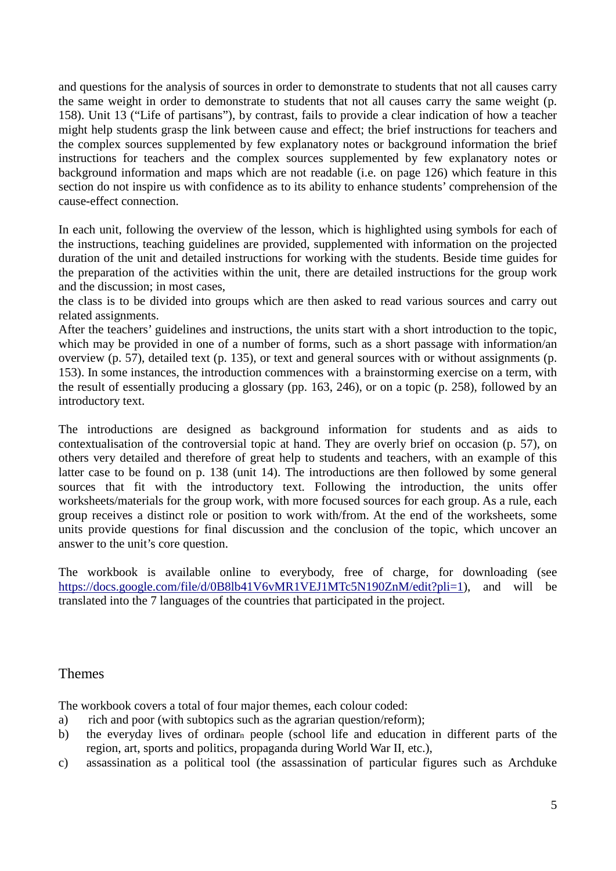and questions for the analysis of sources in order to demonstrate to students that not all causes carry the same weight in order to demonstrate to students that not all causes carry the same weight (p. 158). Unit 13 ("Life of partisans"), by contrast, fails to provide a clear indication of how a teacher might help students grasp the link between cause and effect; the brief instructions for teachers and the complex sources supplemented by few explanatory notes or background information the brief instructions for teachers and the complex sources supplemented by few explanatory notes or background information and maps which are not readable (i.e. on page 126) which feature in this section do not inspire us with confidence as to its ability to enhance students' comprehension of the cause-effect connection.

In each unit, following the overview of the lesson, which is highlighted using symbols for each of the instructions, teaching guidelines are provided, supplemented with information on the projected duration of the unit and detailed instructions for working with the students. Beside time guides for the preparation of the activities within the unit, there are detailed instructions for the group work and the discussion; in most cases,

the class is to be divided into groups which are then asked to read various sources and carry out related assignments.

After the teachers' guidelines and instructions, the units start with a short introduction to the topic, which may be provided in one of a number of forms, such as a short passage with information/an overview (p. 57), detailed text (p. 135), or text and general sources with or without assignments (p. 153). In some instances, the introduction commences with a brainstorming exercise on a term, with the result of essentially producing a glossary (pp. 163, 246), or on a topic (p. 258), followed by an introductory text.

The introductions are designed as background information for students and as aids to contextualisation of the controversial topic at hand. They are overly brief on occasion (p. 57), on others very detailed and therefore of great help to students and teachers, with an example of this latter case to be found on p. 138 (unit 14). The introductions are then followed by some general sources that fit with the introductory text. Following the introduction, the units offer worksheets/materials for the group work, with more focused sources for each group. As a rule, each group receives a distinct role or position to work with/from. At the end of the worksheets, some units provide questions for final discussion and the conclusion of the topic, which uncover an answer to the unit's core question.

The workbook is available online to everybody, free of charge, for downloading (see [https://docs.google.com/file/d/0B8lb41V6vMR1VEJ1MTc5N190ZnM/edit?pli=1\)](https://docs.google.com/file/d/0B8lb41V6vMR1VEJ1MTc5N190ZnM/edit?pli=1), and will be translated into the 7 languages of the countries that participated in the project.

## Themes

The workbook covers a total of four major themes, each colour coded:

- a) rich and poor (with subtopics such as the agrarian question/reform);
- b) the everyday lives of ordinarn people (school life and education in different parts of the region, art, sports and politics, propaganda during World War II, etc.),
- c) assassination as a political tool (the assassination of particular figures such as Archduke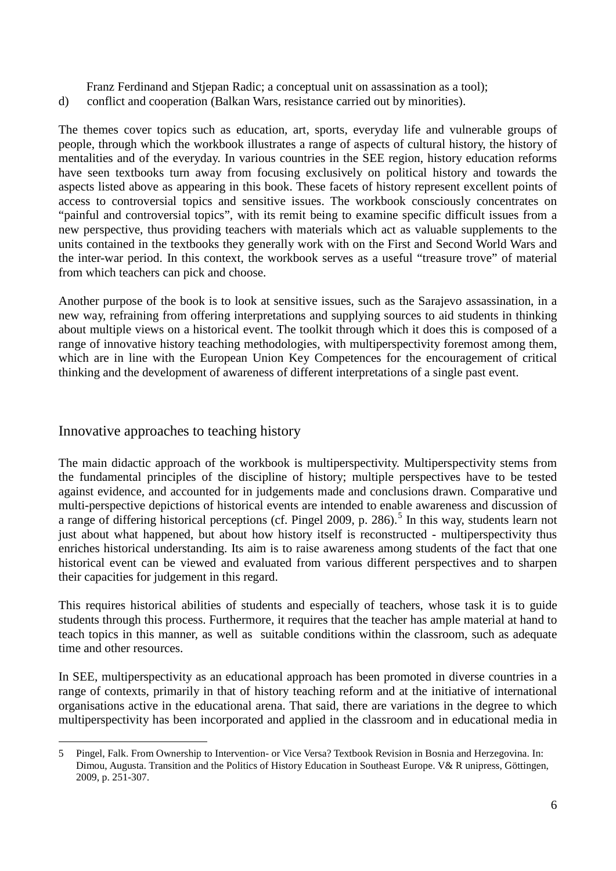Franz Ferdinand and Stjepan Radic; a conceptual unit on assassination as a tool);

d) conflict and cooperation (Balkan Wars, resistance carried out by minorities).

The themes cover topics such as education, art, sports, everyday life and vulnerable groups of people, through which the workbook illustrates a range of aspects of cultural history, the history of mentalities and of the everyday. In various countries in the SEE region, history education reforms have seen textbooks turn away from focusing exclusively on political history and towards the aspects listed above as appearing in this book. These facets of history represent excellent points of access to controversial topics and sensitive issues. The workbook consciously concentrates on "painful and controversial topics", with its remit being to examine specific difficult issues from a new perspective, thus providing teachers with materials which act as valuable supplements to the units contained in the textbooks they generally work with on the First and Second World Wars and the inter-war period. In this context, the workbook serves as a useful "treasure trove" of material from which teachers can pick and choose.

Another purpose of the book is to look at sensitive issues, such as the Sarajevo assassination, in a new way, refraining from offering interpretations and supplying sources to aid students in thinking about multiple views on a historical event. The toolkit through which it does this is composed of a range of innovative history teaching methodologies, with multiperspectivity foremost among them, which are in line with the European Union Key Competences for the encouragement of critical thinking and the development of awareness of different interpretations of a single past event.

## Innovative approaches to teaching history

The main didactic approach of the workbook is multiperspectivity. Multiperspectivity stems from the fundamental principles of the discipline of history; multiple perspectives have to be tested against evidence, and accounted for in judgements made and conclusions drawn. Comparative und multi-perspective depictions of historical events are intended to enable awareness and discussion of a range of differing historical perceptions (cf. Pingel 2009, p. 286).<sup>[5](#page-5-0)</sup> In this way, students learn not just about what happened, but about how history itself is reconstructed - multiperspectivity thus enriches historical understanding. Its aim is to raise awareness among students of the fact that one historical event can be viewed and evaluated from various different perspectives and to sharpen their capacities for judgement in this regard.

This requires historical abilities of students and especially of teachers, whose task it is to guide students through this process. Furthermore, it requires that the teacher has ample material at hand to teach topics in this manner, as well as suitable conditions within the classroom, such as adequate time and other resources.

In SEE, multiperspectivity as an educational approach has been promoted in diverse countries in a range of contexts, primarily in that of history teaching reform and at the initiative of international organisations active in the educational arena. That said, there are variations in the degree to which multiperspectivity has been incorporated and applied in the classroom and in educational media in

<span id="page-5-0"></span><sup>5</sup> Pingel, Falk. From Ownership to Intervention- or Vice Versa? Textbook Revision in Bosnia and Herzegovina. In: Dimou, Augusta. Transition and the Politics of History Education in Southeast Europe. V& R unipress, Göttingen, 2009, p. 251-307. <u>.</u>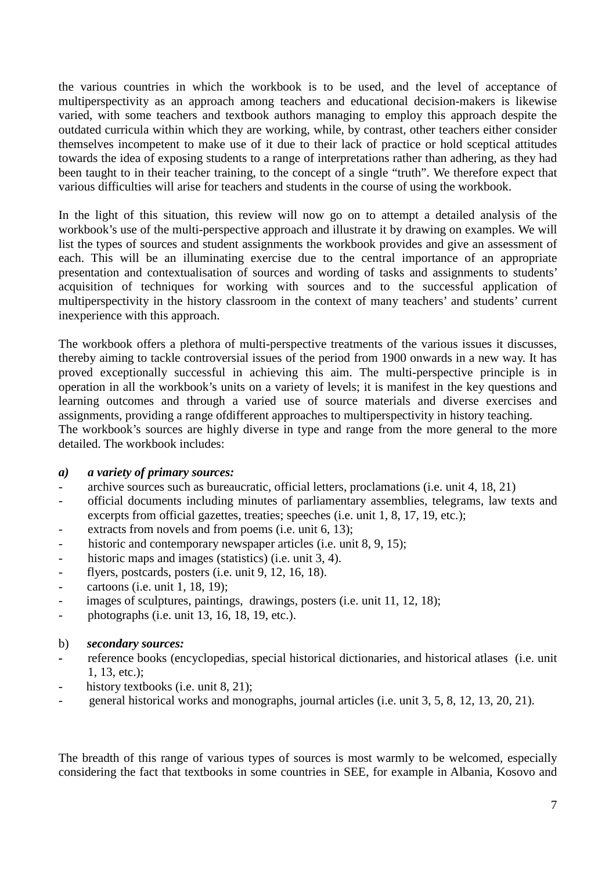the various countries in which the workbook is to be used, and the level of acceptance of multiperspectivity as an approach among teachers and educational decision-makers is likewise varied, with some teachers and textbook authors managing to employ this approach despite the outdated curricula within which they are working, while, by contrast, other teachers either consider themselves incompetent to make use of it due to their lack of practice or hold sceptical attitudes towards the idea of exposing students to a range of interpretations rather than adhering, as they had been taught to in their teacher training, to the concept of a single "truth". We therefore expect that various difficulties will arise for teachers and students in the course of using the workbook.

In the light of this situation, this review will now go on to attempt a detailed analysis of the workbook's use of the multi-perspective approach and illustrate it by drawing on examples. We will list the types of sources and student assignments the workbook provides and give an assessment of each. This will be an illuminating exercise due to the central importance of an appropriate presentation and contextualisation of sources and wording of tasks and assignments to students' acquisition of techniques for working with sources and to the successful application of multiperspectivity in the history classroom in the context of many teachers' and students' current inexperience with this approach.

The workbook offers a plethora of multi-perspective treatments of the various issues it discusses, thereby aiming to tackle controversial issues of the period from 1900 onwards in a new way. It has proved exceptionally successful in achieving this aim. The multi-perspective principle is in operation in all the workbook's units on a variety of levels; it is manifest in the key questions and learning outcomes and through a varied use of source materials and diverse exercises and assignments, providing a range ofdifferent approaches to multiperspectivity in history teaching. The workbook's sources are highly diverse in type and range from the more general to the more

detailed. The workbook includes:

#### *a) a variety of primary sources:*

- archive sources such as bureaucratic, official letters, proclamations (i.e. unit 4, 18, 21)
- official documents including minutes of parliamentary assemblies, telegrams, law texts and excerpts from official gazettes, treaties; speeches (i.e. unit 1, 8, 17, 19, etc.);
- extracts from novels and from poems (i.e. unit 6, 13);
- historic and contemporary newspaper articles (i.e. unit 8, 9, 15);
- historic maps and images (statistics) (i.e. unit 3, 4).
- flyers, postcards, posters (i.e. unit 9, 12, 16, 18).
- cartoons (i.e. unit 1, 18, 19);
- images of sculptures, paintings, drawings, posters (i.e. unit 11, 12, 18);
- photographs (i.e. unit 13, 16, 18, 19, etc.).
- b) *secondary sources:*
- *-* reference books (encyclopedias, special historical dictionaries, and historical atlases (i.e. unit 1, 13, etc.);
- history textbooks (i.e. unit 8, 21);
- general historical works and monographs, journal articles (i.e. unit 3, 5, 8, 12, 13, 20, 21).

The breadth of this range of various types of sources is most warmly to be welcomed, especially considering the fact that textbooks in some countries in SEE, for example in Albania, Kosovo and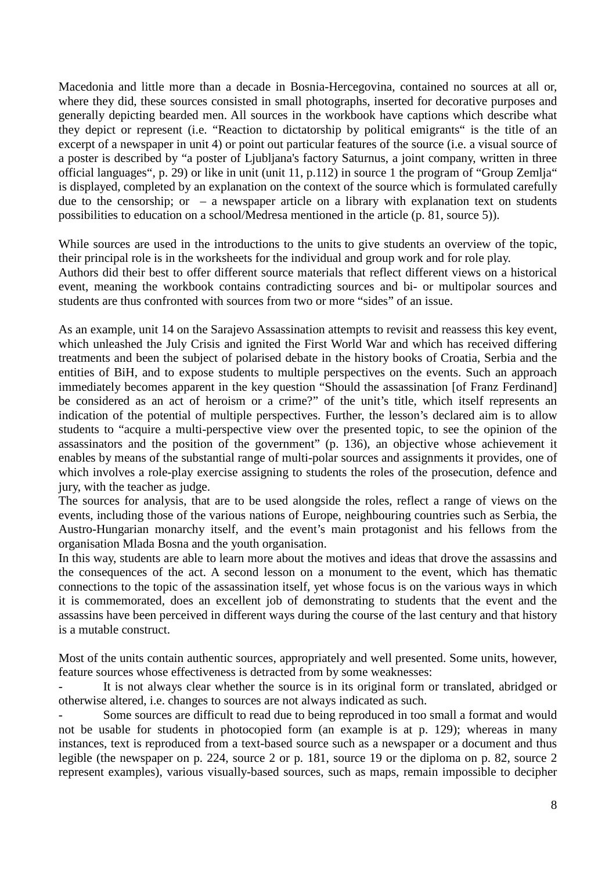Macedonia and little more than a decade in Bosnia-Hercegovina, contained no sources at all or, where they did, these sources consisted in small photographs, inserted for decorative purposes and generally depicting bearded men. All sources in the workbook have captions which describe what they depict or represent (i.e. "Reaction to dictatorship by political emigrants" is the title of an excerpt of a newspaper in unit 4) or point out particular features of the source (i.e. a visual source of a poster is described by "a poster of Ljubljana's factory Saturnus, a joint company, written in three official languages", p. 29) or like in unit (unit 11, p.112) in source 1 the program of "Group Zemlja" is displayed, completed by an explanation on the context of the source which is formulated carefully due to the censorship; or  $-$  a newspaper article on a library with explanation text on students possibilities to education on a school/Medresa mentioned in the article (p. 81, source 5)).

While sources are used in the introductions to the units to give students an overview of the topic, their principal role is in the worksheets for the individual and group work and for role play.

Authors did their best to offer different source materials that reflect different views on a historical event, meaning the workbook contains contradicting sources and bi- or multipolar sources and students are thus confronted with sources from two or more "sides" of an issue.

As an example, unit 14 on the Sarajevo Assassination attempts to revisit and reassess this key event, which unleashed the July Crisis and ignited the First World War and which has received differing treatments and been the subject of polarised debate in the history books of Croatia, Serbia and the entities of BiH, and to expose students to multiple perspectives on the events. Such an approach immediately becomes apparent in the key question "Should the assassination [of Franz Ferdinand] be considered as an act of heroism or a crime?" of the unit's title, which itself represents an indication of the potential of multiple perspectives. Further, the lesson's declared aim is to allow students to "acquire a multi-perspective view over the presented topic, to see the opinion of the assassinators and the position of the government" (p. 136), an objective whose achievement it enables by means of the substantial range of multi-polar sources and assignments it provides, one of which involves a role-play exercise assigning to students the roles of the prosecution, defence and jury, with the teacher as judge.

The sources for analysis, that are to be used alongside the roles, reflect a range of views on the events, including those of the various nations of Europe, neighbouring countries such as Serbia, the Austro-Hungarian monarchy itself, and the event's main protagonist and his fellows from the organisation Mlada Bosna and the youth organisation.

In this way, students are able to learn more about the motives and ideas that drove the assassins and the consequences of the act. A second lesson on a monument to the event, which has thematic connections to the topic of the assassination itself, yet whose focus is on the various ways in which it is commemorated, does an excellent job of demonstrating to students that the event and the assassins have been perceived in different ways during the course of the last century and that history is a mutable construct.

Most of the units contain authentic sources, appropriately and well presented. Some units, however, feature sources whose effectiveness is detracted from by some weaknesses:

It is not always clear whether the source is in its original form or translated, abridged or otherwise altered, i.e. changes to sources are not always indicated as such.

Some sources are difficult to read due to being reproduced in too small a format and would not be usable for students in photocopied form (an example is at p. 129); whereas in many instances, text is reproduced from a text-based source such as a newspaper or a document and thus legible (the newspaper on p. 224, source 2 or p. 181, source 19 or the diploma on p. 82, source 2 represent examples), various visually-based sources, such as maps, remain impossible to decipher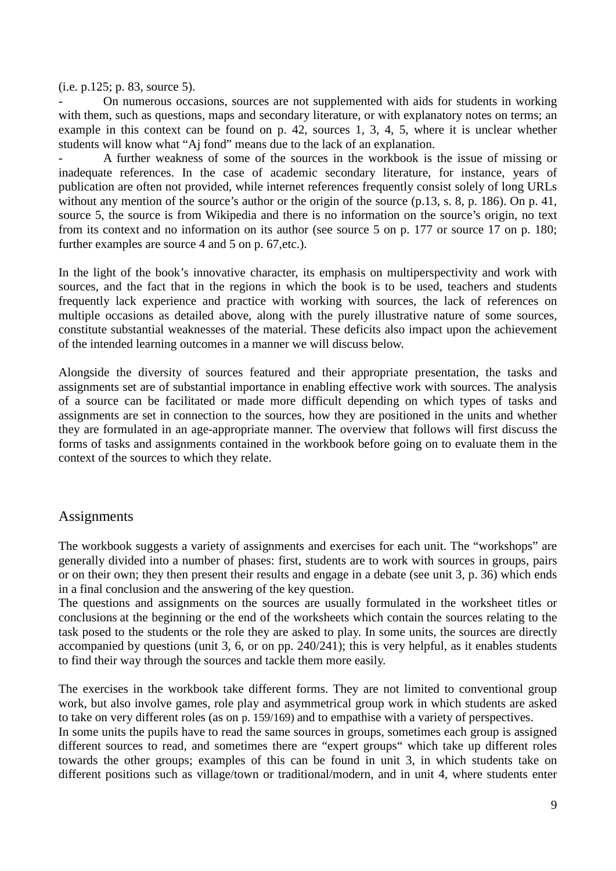(i.e. p.125; p. 83, source 5).

- On numerous occasions, sources are not supplemented with aids for students in working with them, such as questions, maps and secondary literature, or with explanatory notes on terms; an example in this context can be found on p. 42, sources 1, 3, 4, 5, where it is unclear whether students will know what "Aj fond" means due to the lack of an explanation.

A further weakness of some of the sources in the workbook is the issue of missing or inadequate references. In the case of academic secondary literature, for instance, years of publication are often not provided, while internet references frequently consist solely of long URLs without any mention of the source's author or the origin of the source (p.13, s. 8, p. 186). On p. 41, source 5, the source is from Wikipedia and there is no information on the source's origin, no text from its context and no information on its author (see source 5 on p. 177 or source 17 on p. 180; further examples are source 4 and 5 on p. 67,etc.).

In the light of the book's innovative character, its emphasis on multiperspectivity and work with sources, and the fact that in the regions in which the book is to be used, teachers and students frequently lack experience and practice with working with sources, the lack of references on multiple occasions as detailed above, along with the purely illustrative nature of some sources, constitute substantial weaknesses of the material. These deficits also impact upon the achievement of the intended learning outcomes in a manner we will discuss below.

Alongside the diversity of sources featured and their appropriate presentation, the tasks and assignments set are of substantial importance in enabling effective work with sources. The analysis of a source can be facilitated or made more difficult depending on which types of tasks and assignments are set in connection to the sources, how they are positioned in the units and whether they are formulated in an age-appropriate manner. The overview that follows will first discuss the forms of tasks and assignments contained in the workbook before going on to evaluate them in the context of the sources to which they relate.

## **Assignments**

The workbook suggests a variety of assignments and exercises for each unit. The "workshops" are generally divided into a number of phases: first, students are to work with sources in groups, pairs or on their own; they then present their results and engage in a debate (see unit 3, p. 36) which ends in a final conclusion and the answering of the key question.

The questions and assignments on the sources are usually formulated in the worksheet titles or conclusions at the beginning or the end of the worksheets which contain the sources relating to the task posed to the students or the role they are asked to play. In some units, the sources are directly accompanied by questions (unit 3, 6, or on pp. 240/241); this is very helpful, as it enables students to find their way through the sources and tackle them more easily.

The exercises in the workbook take different forms. They are not limited to conventional group work, but also involve games, role play and asymmetrical group work in which students are asked to take on very different roles (as on p. 159/169) and to empathise with a variety of perspectives.

In some units the pupils have to read the same sources in groups, sometimes each group is assigned different sources to read, and sometimes there are "expert groups" which take up different roles towards the other groups; examples of this can be found in unit 3, in which students take on different positions such as village/town or traditional/modern, and in unit 4, where students enter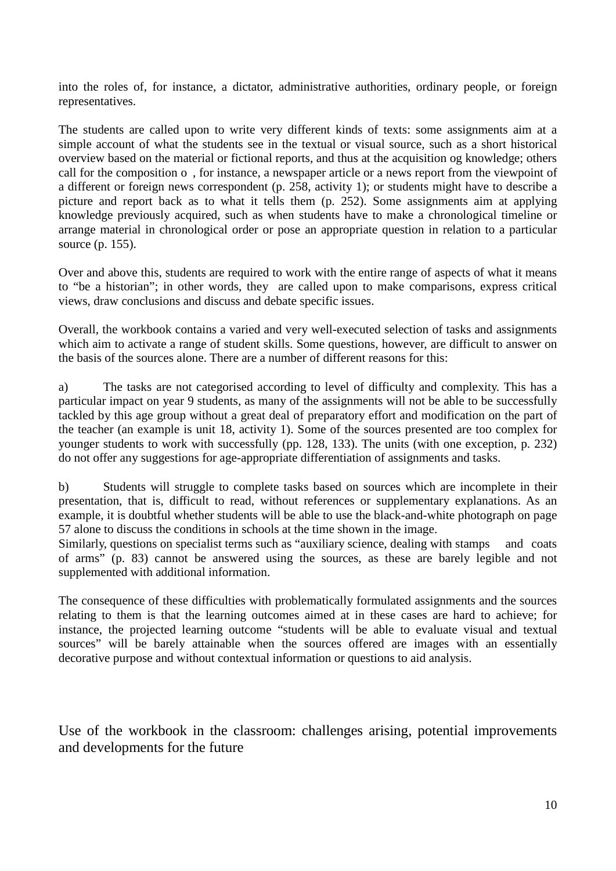into the roles of, for instance, a dictator, administrative authorities, ordinary people, or foreign representatives.

The students are called upon to write very different kinds of texts: some assignments aim at a simple account of what the students see in the textual or visual source, such as a short historical overview based on the material or fictional reports, and thus at the acquisition og knowledge; others call for the composition o , for instance, a newspaper article or a news report from the viewpoint of a different or foreign news correspondent (p. 258, activity 1); or students might have to describe a picture and report back as to what it tells them (p. 252). Some assignments aim at applying knowledge previously acquired, such as when students have to make a chronological timeline or arrange material in chronological order or pose an appropriate question in relation to a particular source (p. 155).

Over and above this, students are required to work with the entire range of aspects of what it means to "be a historian"; in other words, they are called upon to make comparisons, express critical views, draw conclusions and discuss and debate specific issues.

Overall, the workbook contains a varied and very well-executed selection of tasks and assignments which aim to activate a range of student skills. Some questions, however, are difficult to answer on the basis of the sources alone. There are a number of different reasons for this:

a) The tasks are not categorised according to level of difficulty and complexity. This has a particular impact on year 9 students, as many of the assignments will not be able to be successfully tackled by this age group without a great deal of preparatory effort and modification on the part of the teacher (an example is unit 18, activity 1). Some of the sources presented are too complex for younger students to work with successfully (pp. 128, 133). The units (with one exception, p. 232) do not offer any suggestions for age-appropriate differentiation of assignments and tasks.

b) Students will struggle to complete tasks based on sources which are incomplete in their presentation, that is, difficult to read, without references or supplementary explanations. As an example, it is doubtful whether students will be able to use the black-and-white photograph on page 57 alone to discuss the conditions in schools at the time shown in the image.

Similarly, questions on specialist terms such as "auxiliary science, dealing with stamps and coats of arms" (p. 83) cannot be answered using the sources, as these are barely legible and not supplemented with additional information.

The consequence of these difficulties with problematically formulated assignments and the sources relating to them is that the learning outcomes aimed at in these cases are hard to achieve; for instance, the projected learning outcome "students will be able to evaluate visual and textual sources" will be barely attainable when the sources offered are images with an essentially decorative purpose and without contextual information or questions to aid analysis.

Use of the workbook in the classroom: challenges arising, potential improvements and developments for the future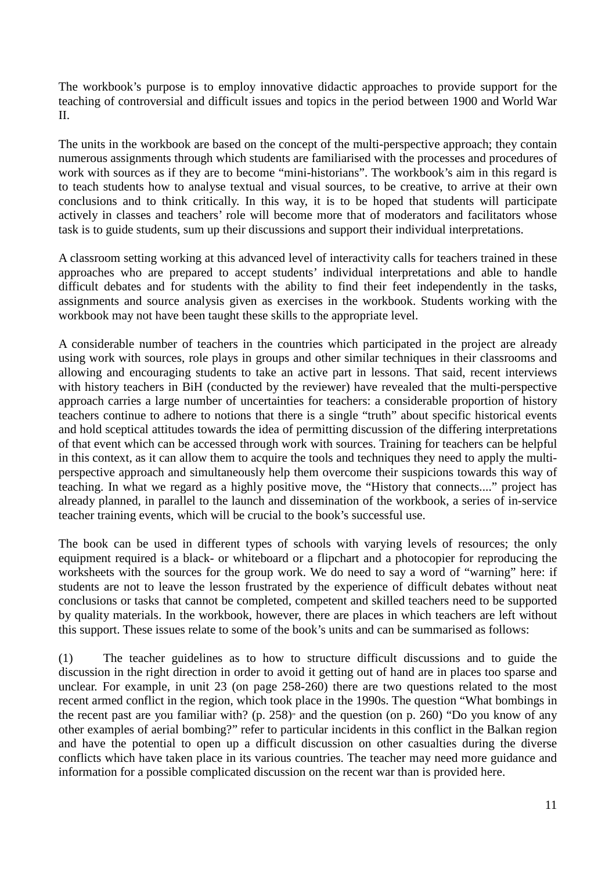The workbook's purpose is to employ innovative didactic approaches to provide support for the teaching of controversial and difficult issues and topics in the period between 1900 and World War II.

The units in the workbook are based on the concept of the multi-perspective approach; they contain numerous assignments through which students are familiarised with the processes and procedures of work with sources as if they are to become "mini-historians". The workbook's aim in this regard is to teach students how to analyse textual and visual sources, to be creative, to arrive at their own conclusions and to think critically. In this way, it is to be hoped that students will participate actively in classes and teachers' role will become more that of moderators and facilitators whose task is to guide students, sum up their discussions and support their individual interpretations.

A classroom setting working at this advanced level of interactivity calls for teachers trained in these approaches who are prepared to accept students' individual interpretations and able to handle difficult debates and for students with the ability to find their feet independently in the tasks, assignments and source analysis given as exercises in the workbook. Students working with the workbook may not have been taught these skills to the appropriate level.

A considerable number of teachers in the countries which participated in the project are already using work with sources, role plays in groups and other similar techniques in their classrooms and allowing and encouraging students to take an active part in lessons. That said, recent interviews with history teachers in BiH (conducted by the reviewer) have revealed that the multi-perspective approach carries a large number of uncertainties for teachers: a considerable proportion of history teachers continue to adhere to notions that there is a single "truth" about specific historical events and hold sceptical attitudes towards the idea of permitting discussion of the differing interpretations of that event which can be accessed through work with sources. Training for teachers can be helpful in this context, as it can allow them to acquire the tools and techniques they need to apply the multiperspective approach and simultaneously help them overcome their suspicions towards this way of teaching. In what we regard as a highly positive move, the "History that connects...." project has already planned, in parallel to the launch and dissemination of the workbook, a series of in-service teacher training events, which will be crucial to the book's successful use.

The book can be used in different types of schools with varying levels of resources; the only equipment required is a black- or whiteboard or a flipchart and a photocopier for reproducing the worksheets with the sources for the group work. We do need to say a word of "warning" here: if students are not to leave the lesson frustrated by the experience of difficult debates without neat conclusions or tasks that cannot be completed, competent and skilled teachers need to be supported by quality materials. In the workbook, however, there are places in which teachers are left without this support. These issues relate to some of the book's units and can be summarised as follows:

(1) The teacher guidelines as to how to structure difficult discussions and to guide the discussion in the right direction in order to avoid it getting out of hand are in places too sparse and unclear. For example, in unit 23 (on page 258-260) there are two questions related to the most recent armed conflict in the region, which took place in the 1990s. The question "What bombings in the recent past are you familiar with? (p. 258)" and the question (on p. 260) "Do you know of any other examples of aerial bombing?" refer to particular incidents in this conflict in the Balkan region and have the potential to open up a difficult discussion on other casualties during the diverse conflicts which have taken place in its various countries. The teacher may need more guidance and information for a possible complicated discussion on the recent war than is provided here.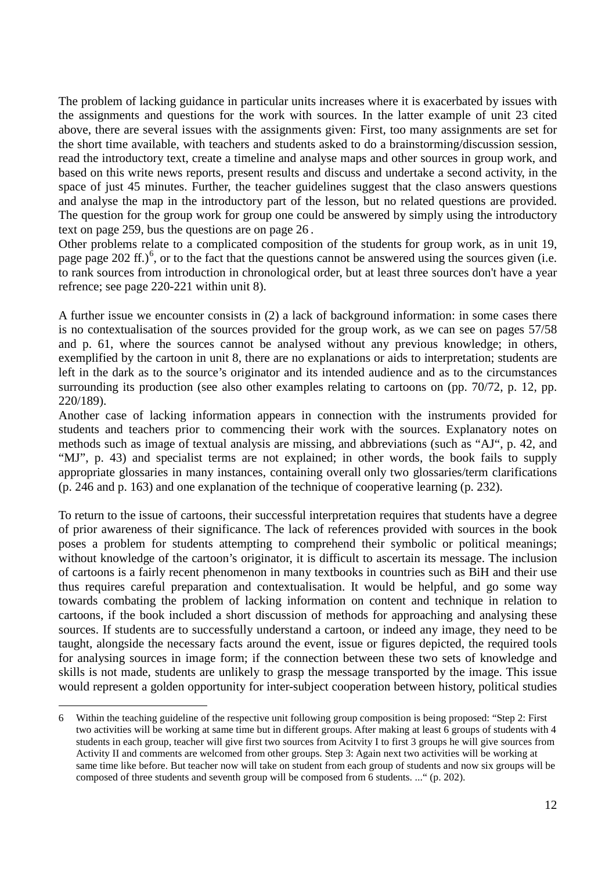The problem of lacking guidance in particular units increases where it is exacerbated by issues with the assignments and questions for the work with sources. In the latter example of unit 23 cited above, there are several issues with the assignments given: First, too many assignments are set for the short time available, with teachers and students asked to do a brainstorming/discussion session, read the introductory text, create a timeline and analyse maps and other sources in group work, and based on this write news reports, present results and discuss and undertake a second activity, in the space of just 45 minutes. Further, the teacher guidelines suggest that the claso answers questions and analyse the map in the introductory part of the lesson, but no related questions are provided. The question for the group work for group one could be answered by simply using the introductory text on page 259, bus the questions are on page 26 .

Other problems relate to a complicated composition of the students for group work, as in unit 19, page page 202 ff.)<sup>[6](#page-11-0)</sup>, or to the fact that the questions cannot be answered using the sources given (i.e. to rank sources from introduction in chronological order, but at least three sources don't have a year refrence; see page 220-221 within unit 8).

A further issue we encounter consists in (2) a lack of background information: in some cases there is no contextualisation of the sources provided for the group work, as we can see on pages 57/58 and p. 61, where the sources cannot be analysed without any previous knowledge; in others, exemplified by the cartoon in unit 8, there are no explanations or aids to interpretation; students are left in the dark as to the source's originator and its intended audience and as to the circumstances surrounding its production (see also other examples relating to cartoons on (pp. 70/72, p. 12, pp. 220/189).

Another case of lacking information appears in connection with the instruments provided for students and teachers prior to commencing their work with the sources. Explanatory notes on methods such as image of textual analysis are missing, and abbreviations (such as "AJ", p. 42, and "MJ", p. 43) and specialist terms are not explained; in other words, the book fails to supply appropriate glossaries in many instances, containing overall only two glossaries/term clarifications (p. 246 and p. 163) and one explanation of the technique of cooperative learning (p. 232).

To return to the issue of cartoons, their successful interpretation requires that students have a degree of prior awareness of their significance. The lack of references provided with sources in the book poses a problem for students attempting to comprehend their symbolic or political meanings; without knowledge of the cartoon's originator, it is difficult to ascertain its message. The inclusion of cartoons is a fairly recent phenomenon in many textbooks in countries such as BiH and their use thus requires careful preparation and contextualisation. It would be helpful, and go some way towards combating the problem of lacking information on content and technique in relation to cartoons, if the book included a short discussion of methods for approaching and analysing these sources. If students are to successfully understand a cartoon, or indeed any image, they need to be taught, alongside the necessary facts around the event, issue or figures depicted, the required tools for analysing sources in image form; if the connection between these two sets of knowledge and skills is not made, students are unlikely to grasp the message transported by the image. This issue would represent a golden opportunity for inter-subject cooperation between history, political studies

-

<span id="page-11-0"></span><sup>6</sup> Within the teaching guideline of the respective unit following group composition is being proposed: "Step 2: First two activities will be working at same time but in different groups. After making at least 6 groups of students with 4 students in each group, teacher will give first two sources from Acitvity I to first 3 groups he will give sources from Activity II and comments are welcomed from other groups. Step 3: Again next two activities will be working at same time like before. But teacher now will take on student from each group of students and now six groups will be composed of three students and seventh group will be composed from 6 students. ..." (p. 202).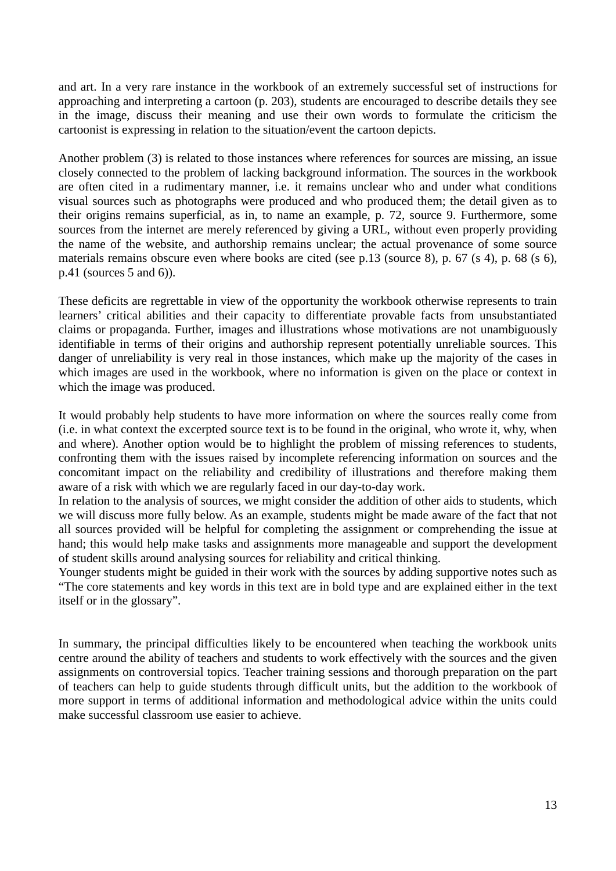and art. In a very rare instance in the workbook of an extremely successful set of instructions for approaching and interpreting a cartoon (p. 203), students are encouraged to describe details they see in the image, discuss their meaning and use their own words to formulate the criticism the cartoonist is expressing in relation to the situation/event the cartoon depicts.

Another problem (3) is related to those instances where references for sources are missing, an issue closely connected to the problem of lacking background information. The sources in the workbook are often cited in a rudimentary manner, i.e. it remains unclear who and under what conditions visual sources such as photographs were produced and who produced them; the detail given as to their origins remains superficial, as in, to name an example, p. 72, source 9. Furthermore, some sources from the internet are merely referenced by giving a URL, without even properly providing the name of the website, and authorship remains unclear; the actual provenance of some source materials remains obscure even where books are cited (see p.13 (source 8), p. 67 (s 4), p. 68 (s 6), p.41 (sources 5 and 6)).

These deficits are regrettable in view of the opportunity the workbook otherwise represents to train learners' critical abilities and their capacity to differentiate provable facts from unsubstantiated claims or propaganda. Further, images and illustrations whose motivations are not unambiguously identifiable in terms of their origins and authorship represent potentially unreliable sources. This danger of unreliability is very real in those instances, which make up the majority of the cases in which images are used in the workbook, where no information is given on the place or context in which the image was produced.

It would probably help students to have more information on where the sources really come from (i.e. in what context the excerpted source text is to be found in the original, who wrote it, why, when and where). Another option would be to highlight the problem of missing references to students, confronting them with the issues raised by incomplete referencing information on sources and the concomitant impact on the reliability and credibility of illustrations and therefore making them aware of a risk with which we are regularly faced in our day-to-day work.

In relation to the analysis of sources, we might consider the addition of other aids to students, which we will discuss more fully below. As an example, students might be made aware of the fact that not all sources provided will be helpful for completing the assignment or comprehending the issue at hand; this would help make tasks and assignments more manageable and support the development of student skills around analysing sources for reliability and critical thinking.

Younger students might be guided in their work with the sources by adding supportive notes such as "The core statements and key words in this text are in bold type and are explained either in the text itself or in the glossary".

In summary, the principal difficulties likely to be encountered when teaching the workbook units centre around the ability of teachers and students to work effectively with the sources and the given assignments on controversial topics. Teacher training sessions and thorough preparation on the part of teachers can help to guide students through difficult units, but the addition to the workbook of more support in terms of additional information and methodological advice within the units could make successful classroom use easier to achieve.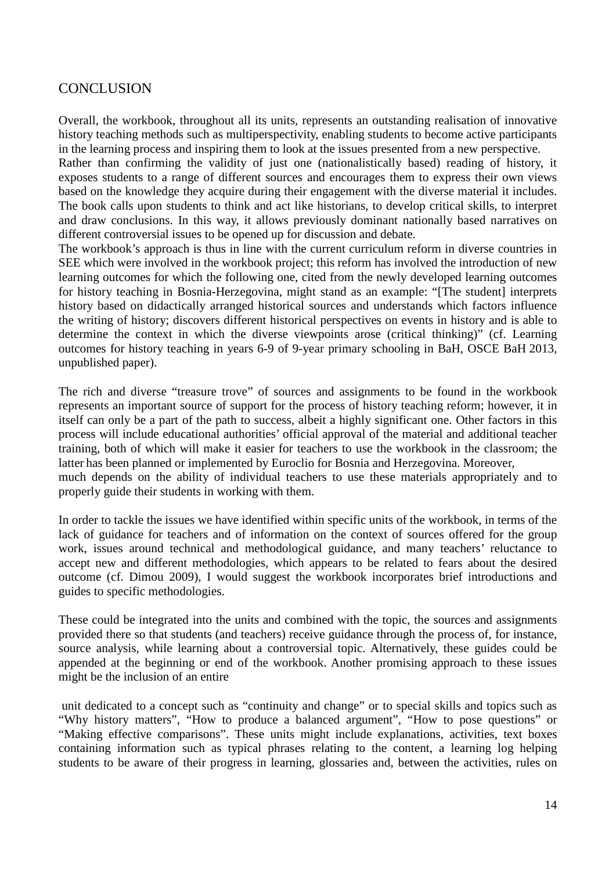## **CONCLUSION**

Overall, the workbook, throughout all its units, represents an outstanding realisation of innovative history teaching methods such as multiperspectivity, enabling students to become active participants in the learning process and inspiring them to look at the issues presented from a new perspective.

Rather than confirming the validity of just one (nationalistically based) reading of history, it exposes students to a range of different sources and encourages them to express their own views based on the knowledge they acquire during their engagement with the diverse material it includes. The book calls upon students to think and act like historians, to develop critical skills, to interpret and draw conclusions. In this way, it allows previously dominant nationally based narratives on different controversial issues to be opened up for discussion and debate.

The workbook's approach is thus in line with the current curriculum reform in diverse countries in SEE which were involved in the workbook project; this reform has involved the introduction of new learning outcomes for which the following one, cited from the newly developed learning outcomes for history teaching in Bosnia-Herzegovina, might stand as an example: "[The student] interprets history based on didactically arranged historical sources and understands which factors influence the writing of history; discovers different historical perspectives on events in history and is able to determine the context in which the diverse viewpoints arose (critical thinking)" (cf. Learning outcomes for history teaching in years 6-9 of 9-year primary schooling in BaH, OSCE BaH 2013, unpublished paper).

The rich and diverse "treasure trove" of sources and assignments to be found in the workbook represents an important source of support for the process of history teaching reform; however, it in itself can only be a part of the path to success, albeit a highly significant one. Other factors in this process will include educational authorities' official approval of the material and additional teacher training, both of which will make it easier for teachers to use the workbook in the classroom; the latter has been planned or implemented by Euroclio for Bosnia and Herzegovina. Moreover, much depends on the ability of individual teachers to use these materials appropriately and to properly guide their students in working with them.

In order to tackle the issues we have identified within specific units of the workbook, in terms of the lack of guidance for teachers and of information on the context of sources offered for the group work, issues around technical and methodological guidance, and many teachers' reluctance to accept new and different methodologies, which appears to be related to fears about the desired outcome (cf. Dimou 2009), I would suggest the workbook incorporates brief introductions and guides to specific methodologies.

These could be integrated into the units and combined with the topic, the sources and assignments provided there so that students (and teachers) receive guidance through the process of, for instance, source analysis, while learning about a controversial topic. Alternatively, these guides could be appended at the beginning or end of the workbook. Another promising approach to these issues might be the inclusion of an entire

unit dedicated to a concept such as "continuity and change" or to special skills and topics such as "Why history matters", "How to produce a balanced argument", "How to pose questions" or "Making effective comparisons". These units might include explanations, activities, text boxes containing information such as typical phrases relating to the content, a learning log helping students to be aware of their progress in learning, glossaries and, between the activities, rules on